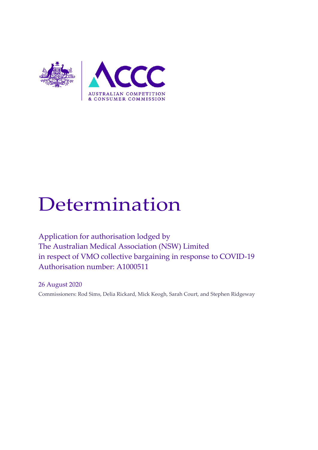

# Determination

Application for authorisation lodged by The Australian Medical Association (NSW) Limited in respect of VMO collective bargaining in response to COVID-19 Authorisation number: A1000511

26 August 2020 Commissioners: Rod Sims, Delia Rickard, Mick Keogh, Sarah Court, and Stephen Ridgeway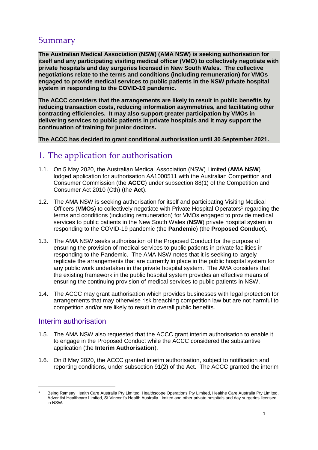# Summary

**The Australian Medical Association (NSW) (AMA NSW) is seeking authorisation for itself and any participating visiting medical officer (VMO) to collectively negotiate with private hospitals and day surgeries licensed in New South Wales. The collective negotiations relate to the terms and conditions (including remuneration) for VMOs engaged to provide medical services to public patients in the NSW private hospital system in responding to the COVID-19 pandemic.**

**The ACCC considers that the arrangements are likely to result in public benefits by reducing transaction costs, reducing information asymmetries, and facilitating other contracting efficiencies. It may also support greater participation by VMOs in delivering services to public patients in private hospitals and it may support the continuation of training for junior doctors.**

**The ACCC has decided to grant conditional authorisation until 30 September 2021.**

## 1. The application for authorisation

- 1.1. On 5 May 2020, the Australian Medical Association (NSW) Limited (**AMA NSW**) lodged application for authorisation AA1000511 with the Australian Competition and Consumer Commission (the **ACCC**) under subsection 88(1) of the Competition and Consumer Act 2010 (Cth) (the **Act**).
- 1.2. The AMA NSW is seeking authorisation for itself and participating Visiting Medical Officers (VMOs) to collectively negotiate with Private Hospital Operators<sup>1</sup> regarding the terms and conditions (including remuneration) for VMOs engaged to provide medical services to public patients in the New South Wales (**NSW**) private hospital system in responding to the COVID-19 pandemic (the **Pandemic**) (the **Proposed Conduct**).
- 1.3. The AMA NSW seeks authorisation of the Proposed Conduct for the purpose of ensuring the provision of medical services to public patients in private facilities in responding to the Pandemic. The AMA NSW notes that it is seeking to largely replicate the arrangements that are currently in place in the public hospital system for any public work undertaken in the private hospital system. The AMA considers that the existing framework in the public hospital system provides an effective means of ensuring the continuing provision of medical services to public patients in NSW.
- 1.4. The ACCC may grant authorisation which provides businesses with legal protection for arrangements that may otherwise risk breaching competition law but are not harmful to competition and/or are likely to result in overall public benefits.

#### Interim authorisation

- 1.5. The AMA NSW also requested that the ACCC grant interim authorisation to enable it to engage in the Proposed Conduct while the ACCC considered the substantive application (the **Interim Authorisation**).
- 1.6. On 8 May 2020, the ACCC granted interim authorisation, subject to notification and reporting conditions, under subsection 91(2) of the Act. The ACCC granted the interim

<sup>1</sup> Being Ramsay Health Care Australia Pty Limited, Healthscope Operations Pty Limited, Healthe Care Australia Pty Limited, Adventist Healthcare Limited, St Vincent's Health Australia Limited and other private hospitals and day surgeries licensed in NSW.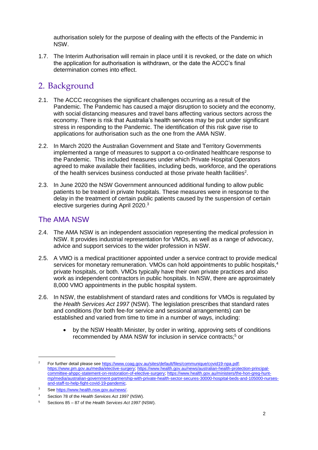authorisation solely for the purpose of dealing with the effects of the Pandemic in NSW.

1.7. The Interim Authorisation will remain in place until it is revoked, or the date on which the application for authorisation is withdrawn, or the date the ACCC's final determination comes into effect.

## 2. Background

- 2.1. The ACCC recognises the significant challenges occurring as a result of the Pandemic. The Pandemic has caused a major disruption to society and the economy, with social distancing measures and travel bans affecting various sectors across the economy. There is risk that Australia's health services may be put under significant stress in responding to the Pandemic. The identification of this risk gave rise to applications for authorisation such as the one from the AMA NSW.
- 2.2. In March 2020 the Australian Government and State and Territory Governments implemented a range of measures to support a co-ordinated healthcare response to the Pandemic. This included measures under which Private Hospital Operators agreed to make available their facilities, including beds, workforce, and the operations of the health services business conducted at those private health facilities<sup>2</sup>.
- 2.3. In June 2020 the NSW Government announced additional funding to allow public patients to be treated in private hospitals. These measures were in response to the delay in the treatment of certain public patients caused by the suspension of certain elective surgeries during April 2020.<sup>3</sup>

## The AMA NSW

- 2.4. The AMA NSW is an independent association representing the medical profession in NSW. It provides industrial representation for VMOs, as well as a range of advocacy, advice and support services to the wider profession in NSW.
- 2.5. A VMO is a medical practitioner appointed under a service contract to provide medical services for monetary remuneration. VMOs can hold appointments to public hospitals,<sup>4</sup> private hospitals, or both. VMOs typically have their own private practices and also work as independent contractors in public hospitals. In NSW, there are approximately 8,000 VMO appointments in the public hospital system.
- 2.6. In NSW, the establishment of standard rates and conditions for VMOs is regulated by the *Health Services Act 1997* (NSW). The legislation prescribes that standard rates and conditions (for both fee-for service and sessional arrangements) can be established and varied from time to time in a number of ways, including:
	- by the NSW Health Minister, by order in writing, approving sets of conditions recommended by AMA NSW for inclusion in service contracts;<sup>5</sup> or

<sup>&</sup>lt;sup>2</sup> For further detail please see [https://www.coag.gov.au/sites/default/files/communique/covid19-npa.pdf;](https://www.coag.gov.au/sites/default/files/communique/covid19-npa.pdf) [https://www.pm.gov.au/media/elective-surgery;](https://www.pm.gov.au/media/elective-surgery) [https://www.health.gov.au/news/australian-health-protection-principal](https://www.health.gov.au/news/australian-health-protection-principal-committee-ahppc-statement-on-restoration-of-elective-surgery)[committee-ahppc-statement-on-restoration-of-elective-surgery;](https://www.health.gov.au/news/australian-health-protection-principal-committee-ahppc-statement-on-restoration-of-elective-surgery) [https://www.health.gov.au/ministers/the-hon-greg-hunt](https://www.health.gov.au/ministers/the-hon-greg-hunt-mp/media/australian-government-partnership-with-private-health-sector-secures-30000-hospital-beds-and-105000-nurses-and-staff-to-help-fight-covid-19-pandemic)[mp/media/australian-government-partnership-with-private-health-sector-secures-30000-hospital-beds-and-105000-nurses](https://www.health.gov.au/ministers/the-hon-greg-hunt-mp/media/australian-government-partnership-with-private-health-sector-secures-30000-hospital-beds-and-105000-nurses-and-staff-to-help-fight-covid-19-pandemic)and-staff-to-help-fight-covid-19-pandemic.

<sup>3</sup> Se[e https://www.health.nsw.gov.au/news/.](https://www.health.nsw.gov.au/news/Pages/20200616_01.aspx#:~:text=Health%20Minister%20Brad%20Hazzard%20said,be%20treated%20in%20private%20hospitals.&text=%E2%80%9COne%20of%20the%20many%20sacrifices,surgeries%2C%E2%80%9D%20Mr%20Hazzard%20said)

<sup>4</sup> Section 78 of the *Health Services Act 1997* (NSW).

<sup>5</sup> Sections 85 – 87 of the *Health Services Act 1997* (NSW).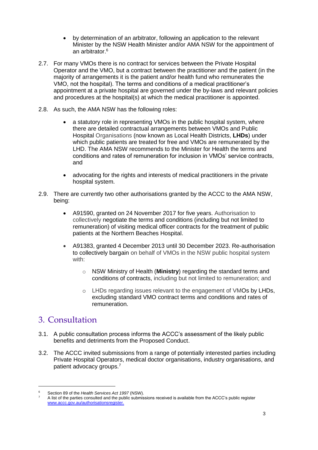- by determination of an arbitrator, following an application to the relevant Minister by the NSW Health Minister and/or AMA NSW for the appointment of an arbitrator. 6
- 2.7. For many VMOs there is no contract for services between the Private Hospital Operator and the VMO, but a contract between the practitioner and the patient (in the majority of arrangements it is the patient and/or health fund who remunerates the VMO, not the hospital). The terms and conditions of a medical practitioner's appointment at a private hospital are governed under the by-laws and relevant policies and procedures at the hospital(s) at which the medical practitioner is appointed.
- 2.8. As such, the AMA NSW has the following roles:
	- a statutory role in representing VMOs in the public hospital system, where there are detailed contractual arrangements between VMOs and Public Hospital Organisations (now known as Local Health Districts, **LHDs**) under which public patients are treated for free and VMOs are remunerated by the LHD. The AMA NSW recommends to the Minister for Health the terms and conditions and rates of remuneration for inclusion in VMOs' service contracts, and
	- advocating for the rights and interests of medical practitioners in the private hospital system.
- 2.9. There are currently two other authorisations granted by the ACCC to the AMA NSW, being:
	- A91590, granted on 24 November 2017 for five years. Authorisation to collectively negotiate the terms and conditions (including but not limited to remuneration) of visiting medical officer contracts for the treatment of public patients at the Northern Beaches Hospital.
	- A91383, granted 4 December 2013 until 30 December 2023. Re-authorisation to collectively bargain on behalf of VMOs in the NSW public hospital system with:
		- o NSW Ministry of Health (**Ministry**) regarding the standard terms and conditions of contracts, including but not limited to remuneration; and
		- o LHDs regarding issues relevant to the engagement of VMOs by LHDs, excluding standard VMO contract terms and conditions and rates of remuneration.

## 3. Consultation

- 3.1. A public consultation process informs the ACCC's assessment of the likely public benefits and detriments from the Proposed Conduct.
- 3.2. The ACCC invited submissions from a range of potentially interested parties including Private Hospital Operators, medical doctor organisations, industry organisations, and patient advocacy groups.<sup>7</sup>

<sup>6</sup> Section 89 of the *Health Services Act 1997* (NSW).

<sup>7</sup> A list of the parties consulted and the public submissions received is available from the ACCC's public register [www.accc.gov.au/authorisationsregister.](http://www.accc.gov.au/authorisationsregister)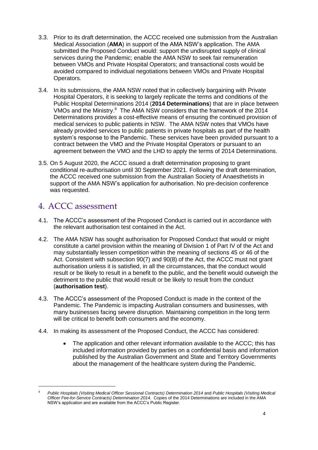- 3.3. Prior to its draft determination, the ACCC received one submission from the Australian Medical Association (**AMA**) in support of the AMA NSW's application. The AMA submitted the Proposed Conduct would: support the undisrupted supply of clinical services during the Pandemic; enable the AMA NSW to seek fair remuneration between VMOs and Private Hospital Operators; and transactional costs would be avoided compared to individual negotiations between VMOs and Private Hospital Operators.
- 3.4. In its submissions, the AMA NSW noted that in collectively bargaining with Private Hospital Operators, it is seeking to largely replicate the terms and conditions of the Public Hospital Determinations 2014 (**2014 Determinations**) that are in place between VMOs and the Ministry.<sup>8</sup> The AMA NSW considers that the framework of the 2014 Determinations provides a cost-effective means of ensuring the continued provision of medical services to public patients in NSW. The AMA NSW notes that VMOs have already provided services to public patients in private hospitals as part of the health system's response to the Pandemic. These services have been provided pursuant to a contract between the VMO and the Private Hospital Operators or pursuant to an agreement between the VMO and the LHD to apply the terms of 2014 Determinations.
- 3.5. On 5 August 2020, the ACCC issued a draft determination proposing to grant conditional re-authorisation until 30 September 2021. Following the draft determination, the ACCC received one submission from the Australian Society of Anaesthetists in support of the AMA NSW's application for authorisation. No pre-decision conference was requested.

# 4. ACCC assessment

- 4.1. The ACCC's assessment of the Proposed Conduct is carried out in accordance with the relevant authorisation test contained in the Act.
- 4.2. The AMA NSW has sought authorisation for Proposed Conduct that would or might constitute a cartel provision within the meaning of Division 1 of Part IV of the Act and may substantially lessen competition within the meaning of sections 45 or 46 of the Act. Consistent with subsection 90(7) and 90(8) of the Act, the ACCC must not grant authorisation unless it is satisfied, in all the circumstances, that the conduct would result or be likely to result in a benefit to the public, and the benefit would outweigh the detriment to the public that would result or be likely to result from the conduct (**authorisation test**).
- 4.3. The ACCC's assessment of the Proposed Conduct is made in the context of the Pandemic. The Pandemic is impacting Australian consumers and businesses, with many businesses facing severe disruption. Maintaining competition in the long term will be critical to benefit both consumers and the economy.
- 4.4. In making its assessment of the Proposed Conduct, the ACCC has considered:
	- The application and other relevant information available to the ACCC; this has included information provided by parties on a confidential basis and information published by the Australian Government and State and Territory Governments about the management of the healthcare system during the Pandemic.

<sup>8</sup> *Public Hospitals (Visiting Medical Officer Sessional Contracts) Determination 2014* and *Public Hospitals (Visiting Medical Officer Fee-for-Service Contracts) Determination 2014*. Copies of the 2014 Determinations are included in the AMA NSW's application and are available from the ACCC's Public Register.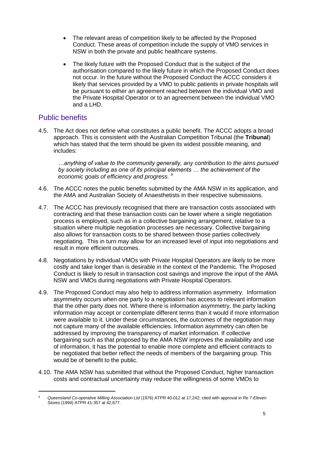- The relevant areas of competition likely to be affected by the Proposed Conduct. These areas of competition include the supply of VMO services in NSW in both the private and public healthcare systems.
- The likely future with the Proposed Conduct that is the subject of the authorisation compared to the likely future in which the Proposed Conduct does not occur. In the future without the Proposed Conduct the ACCC considers it likely that services provided by a VMO to public patients in private hospitals will be pursuant to either an agreement reached between the individual VMO and the Private Hospital Operator or to an agreement between the individual VMO and a LHD.

#### Public benefits

-

4.5. The Act does not define what constitutes a public benefit. The ACCC adopts a broad approach. This is consistent with the Australian Competition Tribunal (the **Tribunal**) which has stated that the term should be given its widest possible meaning, and includes:

*…anything of value to the community generally, any contribution to the aims pursued by society including as one of its principal elements … the achievement of the economic goals of efficiency and progress. <sup>9</sup>*

- 4.6. The ACCC notes the public benefits submitted by the AMA NSW in its application, and the AMA and Australian Society of Anaesthetists in their respective submissions.
- 4.7. The ACCC has previously recognised that there are transaction costs associated with contracting and that these transaction costs can be lower where a single negotiation process is employed, such as in a collective bargaining arrangement, relative to a situation where multiple negotiation processes are necessary. Collective bargaining also allows for transaction costs to be shared between those parties collectively negotiating. This in turn may allow for an increased level of input into negotiations and result in more efficient outcomes.
- 4.8. Negotiations by individual VMOs with Private Hospital Operators are likely to be more costly and take longer than is desirable in the context of the Pandemic. The Proposed Conduct is likely to result in transaction cost savings and improve the input of the AMA NSW and VMOs during negotiations with Private Hospital Operators.
- 4.9. The Proposed Conduct may also help to address information asymmetry. Information asymmetry occurs when one party to a negotiation has access to relevant information that the other party does not. Where there is information asymmetry, the party lacking information may accept or contemplate different terms than it would if more information were available to it. Under these circumstances, the outcomes of the negotiation may not capture many of the available efficiencies. Information asymmetry can often be addressed by improving the transparency of market information. If collective bargaining such as that proposed by the AMA NSW improves the availability and use of information, it has the potential to enable more complete and efficient contracts to be negotiated that better reflect the needs of members of the bargaining group. This would be of benefit to the public.
- 4.10. The AMA NSW has submitted that without the Proposed Conduct, higher transaction costs and contractual uncertainty may reduce the willingness of some VMOs to

<sup>9</sup> *Queensland Co-operative Milling Association Ltd* (1976) ATPR 40-012 at 17,242; cited with approval in *Re 7-Eleven Stores* (1994) ATPR 41-357 at 42,677.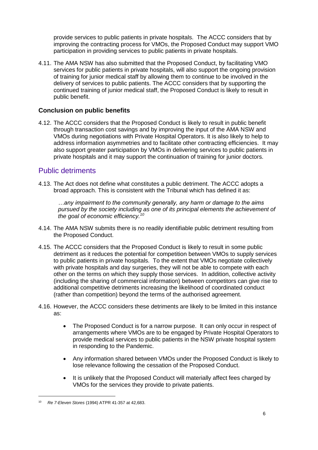provide services to public patients in private hospitals. The ACCC considers that by improving the contracting process for VMOs, the Proposed Conduct may support VMO participation in providing services to public patients in private hospitals.

4.11. The AMA NSW has also submitted that the Proposed Conduct, by facilitating VMO services for public patients in private hospitals, will also support the ongoing provision of training for junior medical staff by allowing them to continue to be involved in the delivery of services to public patients. The ACCC considers that by supporting the continued training of junior medical staff, the Proposed Conduct is likely to result in public benefit.

#### **Conclusion on public benefits**

4.12. The ACCC considers that the Proposed Conduct is likely to result in public benefit through transaction cost savings and by improving the input of the AMA NSW and VMOs during negotiations with Private Hospital Operators. It is also likely to help to address information asymmetries and to facilitate other contracting efficiencies. It may also support greater participation by VMOs in delivering services to public patients in private hospitals and it may support the continuation of training for junior doctors.

#### Public detriments

4.13. The Act does not define what constitutes a public detriment. The ACCC adopts a broad approach. This is consistent with the Tribunal which has defined it as:

*…any impairment to the community generally, any harm or damage to the aims pursued by the society including as one of its principal elements the achievement of the goal of economic efficiency.<sup>10</sup>*

- 4.14. The AMA NSW submits there is no readily identifiable public detriment resulting from the Proposed Conduct.
- 4.15. The ACCC considers that the Proposed Conduct is likely to result in some public detriment as it reduces the potential for competition between VMOs to supply services to public patients in private hospitals. To the extent that VMOs negotiate collectively with private hospitals and day surgeries, they will not be able to compete with each other on the terms on which they supply those services. In addition, collective activity (including the sharing of commercial information) between competitors can give rise to additional competitive detriments increasing the likelihood of coordinated conduct (rather than competition) beyond the terms of the authorised agreement.
- 4.16. However, the ACCC considers these detriments are likely to be limited in this instance as:
	- The Proposed Conduct is for a narrow purpose. It can only occur in respect of arrangements where VMOs are to be engaged by Private Hospital Operators to provide medical services to public patients in the NSW private hospital system in responding to the Pandemic.
	- Any information shared between VMOs under the Proposed Conduct is likely to lose relevance following the cessation of the Proposed Conduct.
	- It is unlikely that the Proposed Conduct will materially affect fees charged by VMOs for the services they provide to private patients.

<sup>10</sup> *Re 7-Eleven Stores* (1994) ATPR 41-357 at 42,683.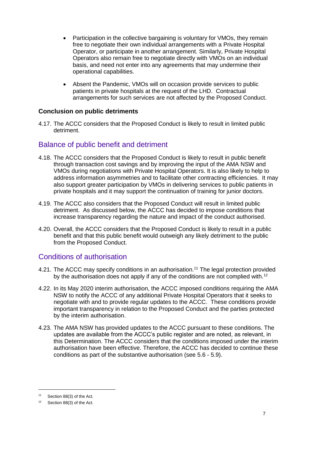- Participation in the collective bargaining is voluntary for VMOs, they remain free to negotiate their own individual arrangements with a Private Hospital Operator, or participate in another arrangement. Similarly, Private Hospital Operators also remain free to negotiate directly with VMOs on an individual basis, and need not enter into any agreements that may undermine their operational capabilities.
- Absent the Pandemic, VMOs will on occasion provide services to public patients in private hospitals at the request of the LHD. Contractual arrangements for such services are not affected by the Proposed Conduct.

#### **Conclusion on public detriments**

4.17. The ACCC considers that the Proposed Conduct is likely to result in limited public detriment.

#### Balance of public benefit and detriment

- 4.18. The ACCC considers that the Proposed Conduct is likely to result in public benefit through transaction cost savings and by improving the input of the AMA NSW and VMOs during negotiations with Private Hospital Operators. It is also likely to help to address information asymmetries and to facilitate other contracting efficiencies. It may also support greater participation by VMOs in delivering services to public patients in private hospitals and it may support the continuation of training for junior doctors.
- 4.19. The ACCC also considers that the Proposed Conduct will result in limited public detriment. As discussed below, the ACCC has decided to impose conditions that increase transparency regarding the nature and impact of the conduct authorised.
- 4.20. Overall, the ACCC considers that the Proposed Conduct is likely to result in a public benefit and that this public benefit would outweigh any likely detriment to the public from the Proposed Conduct.

#### Conditions of authorisation

- 4.21. The ACCC may specify conditions in an authorisation.<sup>11</sup> The legal protection provided by the authorisation does not apply if any of the conditions are not complied with.<sup>12</sup>
- 4.22. In its May 2020 interim authorisation, the ACCC imposed conditions requiring the AMA NSW to notify the ACCC of any additional Private Hospital Operators that it seeks to negotiate with and to provide regular updates to the ACCC. These conditions provide important transparency in relation to the Proposed Conduct and the parties protected by the interim authorisation.
- 4.23. The AMA NSW has provided updates to the ACCC pursuant to these conditions. The updates are available from the ACCC's public register and are noted, as relevant, in this Determination. The ACCC considers that the conditions imposed under the interim authorisation have been effective. Therefore, the ACCC has decided to continue these conditions as part of the substantive authorisation (see [5.6](#page-9-0) - [5.9\)](#page-9-1).

<sup>11</sup> Section 88(3) of the Act.

<sup>12</sup> Section 88(3) of the Act.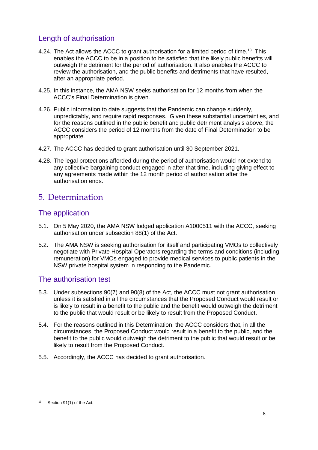## Length of authorisation

- 4.24. The Act allows the ACCC to grant authorisation for a limited period of time.<sup>13</sup> This enables the ACCC to be in a position to be satisfied that the likely public benefits will outweigh the detriment for the period of authorisation. It also enables the ACCC to review the authorisation, and the public benefits and detriments that have resulted, after an appropriate period.
- 4.25. In this instance, the AMA NSW seeks authorisation for 12 months from when the ACCC's Final Determination is given.
- 4.26. Public information to date suggests that the Pandemic can change suddenly, unpredictably, and require rapid responses. Given these substantial uncertainties, and for the reasons outlined in the public benefit and public detriment analysis above, the ACCC considers the period of 12 months from the date of Final Determination to be appropriate.
- 4.27. The ACCC has decided to grant authorisation until 30 September 2021.
- 4.28. The legal protections afforded during the period of authorisation would not extend to any collective bargaining conduct engaged in after that time, including giving effect to any agreements made within the 12 month period of authorisation after the authorisation ends.

# 5. Determination

## The application

- 5.1. On 5 May 2020, the AMA NSW lodged application A1000511 with the ACCC, seeking authorisation under subsection 88(1) of the Act.
- 5.2. The AMA NSW is seeking authorisation for itself and participating VMOs to collectively negotiate with Private Hospital Operators regarding the terms and conditions (including remuneration) for VMOs engaged to provide medical services to public patients in the NSW private hospital system in responding to the Pandemic.

#### The authorisation test

- 5.3. Under subsections 90(7) and 90(8) of the Act, the ACCC must not grant authorisation unless it is satisfied in all the circumstances that the Proposed Conduct would result or is likely to result in a benefit to the public and the benefit would outweigh the detriment to the public that would result or be likely to result from the Proposed Conduct.
- 5.4. For the reasons outlined in this Determination, the ACCC considers that, in all the circumstances, the Proposed Conduct would result in a benefit to the public, and the benefit to the public would outweigh the detriment to the public that would result or be likely to result from the Proposed Conduct.
- 5.5. Accordingly, the ACCC has decided to grant authorisation.

<sup>13</sup> Section 91(1) of the Act.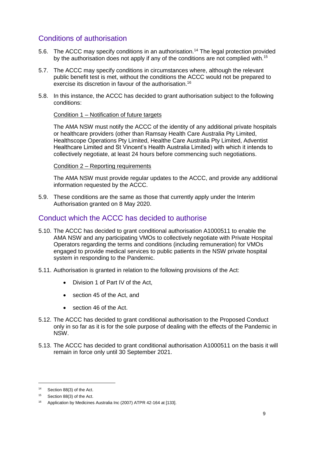## Conditions of authorisation

- <span id="page-9-0"></span>5.6. The ACCC may specify conditions in an authorisation.<sup>14</sup> The legal protection provided by the authorisation does not apply if any of the conditions are not complied with.<sup>15</sup>
- 5.7. The ACCC may specify conditions in circumstances where, although the relevant public benefit test is met, without the conditions the ACCC would not be prepared to exercise its discretion in favour of the authorisation.<sup>16</sup>
- 5.8. In this instance, the ACCC has decided to grant authorisation subject to the following conditions:

#### Condition 1 – Notification of future targets

The AMA NSW must notify the ACCC of the identity of any additional private hospitals or healthcare providers (other than Ramsay Health Care Australia Pty Limited, Healthscope Operations Pty Limited, Healthe Care Australia Pty Limited, Adventist Healthcare Limited and St Vincent's Health Australia Limited) with which it intends to collectively negotiate, at least 24 hours before commencing such negotiations.

#### Condition 2 – Reporting requirements

The AMA NSW must provide regular updates to the ACCC, and provide any additional information requested by the ACCC.

<span id="page-9-1"></span>5.9. These conditions are the same as those that currently apply under the Interim Authorisation granted on 8 May 2020.

#### Conduct which the ACCC has decided to authorise

- 5.10. The ACCC has decided to grant conditional authorisation A1000511 to enable the AMA NSW and any participating VMOs to collectively negotiate with Private Hospital Operators regarding the terms and conditions (including remuneration) for VMOs engaged to provide medical services to public patients in the NSW private hospital system in responding to the Pandemic.
- 5.11. Authorisation is granted in relation to the following provisions of the Act:
	- Division 1 of Part IV of the Act.
	- section 45 of the Act, and
	- section 46 of the Act.
- 5.12. The ACCC has decided to grant conditional authorisation to the Proposed Conduct only in so far as it is for the sole purpose of dealing with the effects of the Pandemic in NSW.
- 5.13. The ACCC has decided to grant conditional authorisation A1000511 on the basis it will remain in force only until 30 September 2021.

<sup>14</sup> Section 88(3) of the Act.

<sup>15</sup> Section 88(3) of the Act.

<sup>16</sup> Application by Medicines Australia Inc (2007) ATPR 42-164 at [133].